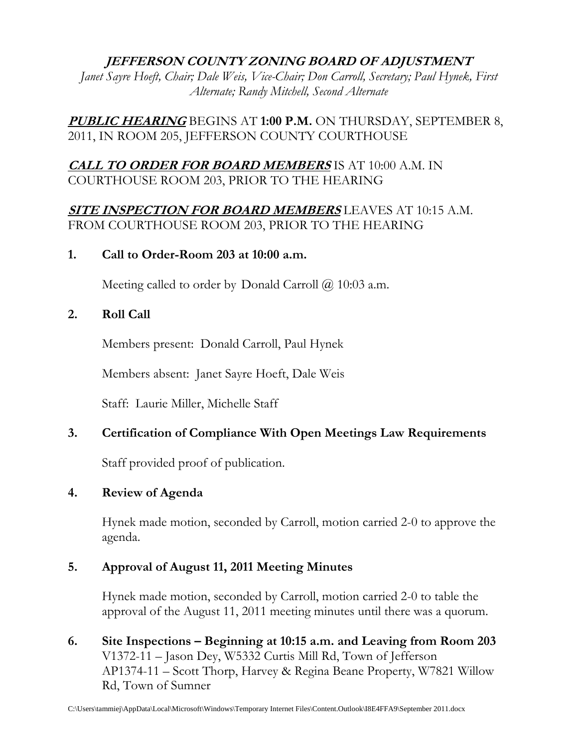## **JEFFERSON COUNTY ZONING BOARD OF ADJUSTMENT**

*Janet Sayre Hoeft, Chair; Dale Weis, Vice-Chair; Don Carroll, Secretary; Paul Hynek, First Alternate; Randy Mitchell, Second Alternate* 

**PUBLIC HEARING** BEGINS AT **1:00 P.M.** ON THURSDAY, SEPTEMBER 8, 2011, IN ROOM 205, JEFFERSON COUNTY COURTHOUSE

# **CALL TO ORDER FOR BOARD MEMBERS** IS AT 10:00 A.M. IN COURTHOUSE ROOM 203, PRIOR TO THE HEARING

**SITE INSPECTION FOR BOARD MEMBERS** LEAVES AT 10:15 A.M. FROM COURTHOUSE ROOM 203, PRIOR TO THE HEARING

### **1. Call to Order-Room 203 at 10:00 a.m.**

Meeting called to order by Donald Carroll  $\omega$  10:03 a.m.

## **2. Roll Call**

Members present: Donald Carroll, Paul Hynek

Members absent: Janet Sayre Hoeft, Dale Weis

Staff: Laurie Miller, Michelle Staff

## **3. Certification of Compliance With Open Meetings Law Requirements**

Staff provided proof of publication.

### **4. Review of Agenda**

 Hynek made motion, seconded by Carroll, motion carried 2-0 to approve the agenda.

## **5. Approval of August 11, 2011 Meeting Minutes**

Hynek made motion, seconded by Carroll, motion carried 2-0 to table the approval of the August 11, 2011 meeting minutes until there was a quorum.

**6. Site Inspections – Beginning at 10:15 a.m. and Leaving from Room 203**  V1372-11 – Jason Dey, W5332 Curtis Mill Rd, Town of Jefferson AP1374-11 – Scott Thorp, Harvey & Regina Beane Property, W7821 Willow Rd, Town of Sumner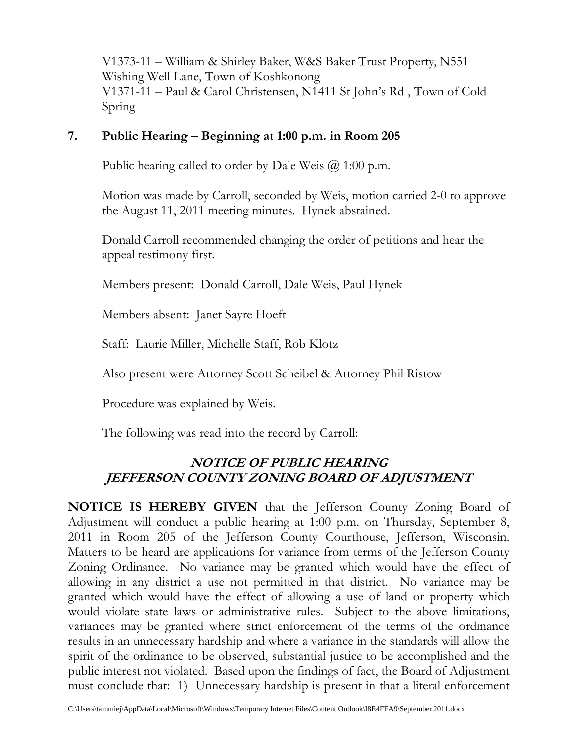V1373-11 – William & Shirley Baker, W&S Baker Trust Property, N551 Wishing Well Lane, Town of Koshkonong V1371-11 – Paul & Carol Christensen, N1411 St John's Rd , Town of Cold Spring

## **7. Public Hearing – Beginning at 1:00 p.m. in Room 205**

Public hearing called to order by Dale Weis  $(2, 1:00)$  p.m.

 Motion was made by Carroll, seconded by Weis, motion carried 2-0 to approve the August 11, 2011 meeting minutes. Hynek abstained.

 Donald Carroll recommended changing the order of petitions and hear the appeal testimony first.

Members present: Donald Carroll, Dale Weis, Paul Hynek

Members absent: Janet Sayre Hoeft

Staff: Laurie Miller, Michelle Staff, Rob Klotz

Also present were Attorney Scott Scheibel & Attorney Phil Ristow

Procedure was explained by Weis.

The following was read into the record by Carroll:

# **NOTICE OF PUBLIC HEARING JEFFERSON COUNTY ZONING BOARD OF ADJUSTMENT**

**NOTICE IS HEREBY GIVEN** that the Jefferson County Zoning Board of Adjustment will conduct a public hearing at 1:00 p.m. on Thursday, September 8, 2011 in Room 205 of the Jefferson County Courthouse, Jefferson, Wisconsin. Matters to be heard are applications for variance from terms of the Jefferson County Zoning Ordinance. No variance may be granted which would have the effect of allowing in any district a use not permitted in that district. No variance may be granted which would have the effect of allowing a use of land or property which would violate state laws or administrative rules. Subject to the above limitations, variances may be granted where strict enforcement of the terms of the ordinance results in an unnecessary hardship and where a variance in the standards will allow the spirit of the ordinance to be observed, substantial justice to be accomplished and the public interest not violated. Based upon the findings of fact, the Board of Adjustment must conclude that: 1) Unnecessary hardship is present in that a literal enforcement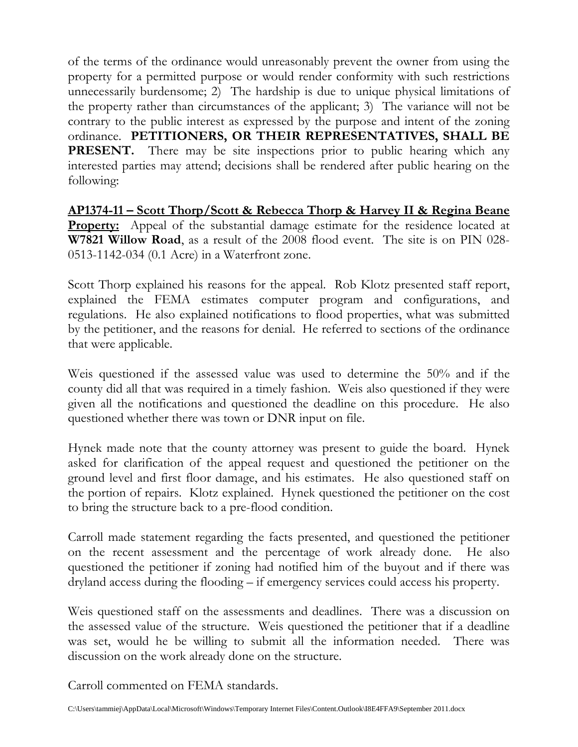of the terms of the ordinance would unreasonably prevent the owner from using the property for a permitted purpose or would render conformity with such restrictions unnecessarily burdensome; 2) The hardship is due to unique physical limitations of the property rather than circumstances of the applicant; 3) The variance will not be contrary to the public interest as expressed by the purpose and intent of the zoning ordinance. **PETITIONERS, OR THEIR REPRESENTATIVES, SHALL BE PRESENT.** There may be site inspections prior to public hearing which any interested parties may attend; decisions shall be rendered after public hearing on the following:

**AP1374-11 – Scott Thorp/Scott & Rebecca Thorp & Harvey II & Regina Beane Property:** Appeal of the substantial damage estimate for the residence located at **W7821 Willow Road**, as a result of the 2008 flood event. The site is on PIN 028- 0513-1142-034 (0.1 Acre) in a Waterfront zone.

Scott Thorp explained his reasons for the appeal. Rob Klotz presented staff report, explained the FEMA estimates computer program and configurations, and regulations. He also explained notifications to flood properties, what was submitted by the petitioner, and the reasons for denial. He referred to sections of the ordinance that were applicable.

Weis questioned if the assessed value was used to determine the 50% and if the county did all that was required in a timely fashion. Weis also questioned if they were given all the notifications and questioned the deadline on this procedure. He also questioned whether there was town or DNR input on file.

Hynek made note that the county attorney was present to guide the board. Hynek asked for clarification of the appeal request and questioned the petitioner on the ground level and first floor damage, and his estimates. He also questioned staff on the portion of repairs. Klotz explained. Hynek questioned the petitioner on the cost to bring the structure back to a pre-flood condition.

Carroll made statement regarding the facts presented, and questioned the petitioner on the recent assessment and the percentage of work already done. He also questioned the petitioner if zoning had notified him of the buyout and if there was dryland access during the flooding – if emergency services could access his property.

Weis questioned staff on the assessments and deadlines. There was a discussion on the assessed value of the structure. Weis questioned the petitioner that if a deadline was set, would he be willing to submit all the information needed. There was discussion on the work already done on the structure.

Carroll commented on FEMA standards.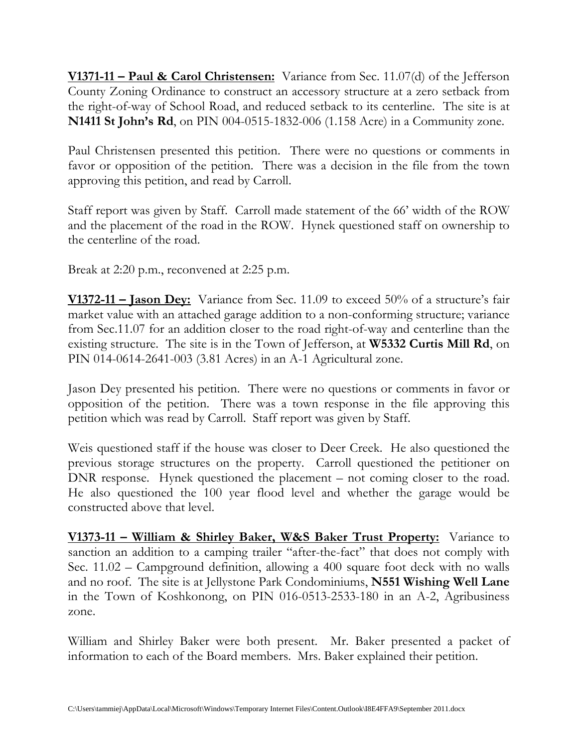**V1371-11 – Paul & Carol Christensen:** Variance from Sec. 11.07(d) of the Jefferson County Zoning Ordinance to construct an accessory structure at a zero setback from the right-of-way of School Road, and reduced setback to its centerline. The site is at **N1411 St John's Rd**, on PIN 004-0515-1832-006 (1.158 Acre) in a Community zone.

Paul Christensen presented this petition. There were no questions or comments in favor or opposition of the petition. There was a decision in the file from the town approving this petition, and read by Carroll.

Staff report was given by Staff. Carroll made statement of the 66' width of the ROW and the placement of the road in the ROW. Hynek questioned staff on ownership to the centerline of the road.

Break at 2:20 p.m., reconvened at 2:25 p.m.

**V1372-11 – Jason Dey:** Variance from Sec. 11.09 to exceed 50% of a structure's fair market value with an attached garage addition to a non-conforming structure; variance from Sec.11.07 for an addition closer to the road right-of-way and centerline than the existing structure. The site is in the Town of Jefferson, at **W5332 Curtis Mill Rd**, on PIN 014-0614-2641-003 (3.81 Acres) in an A-1 Agricultural zone.

Jason Dey presented his petition. There were no questions or comments in favor or opposition of the petition. There was a town response in the file approving this petition which was read by Carroll. Staff report was given by Staff.

Weis questioned staff if the house was closer to Deer Creek. He also questioned the previous storage structures on the property. Carroll questioned the petitioner on DNR response. Hynek questioned the placement – not coming closer to the road. He also questioned the 100 year flood level and whether the garage would be constructed above that level.

**V1373-11 – William & Shirley Baker, W&S Baker Trust Property:** Variance to sanction an addition to a camping trailer "after-the-fact" that does not comply with Sec. 11.02 – Campground definition, allowing a 400 square foot deck with no walls and no roof. The site is at Jellystone Park Condominiums, **N551 Wishing Well Lane** in the Town of Koshkonong, on PIN 016-0513-2533-180 in an A-2, Agribusiness zone.

William and Shirley Baker were both present. Mr. Baker presented a packet of information to each of the Board members. Mrs. Baker explained their petition.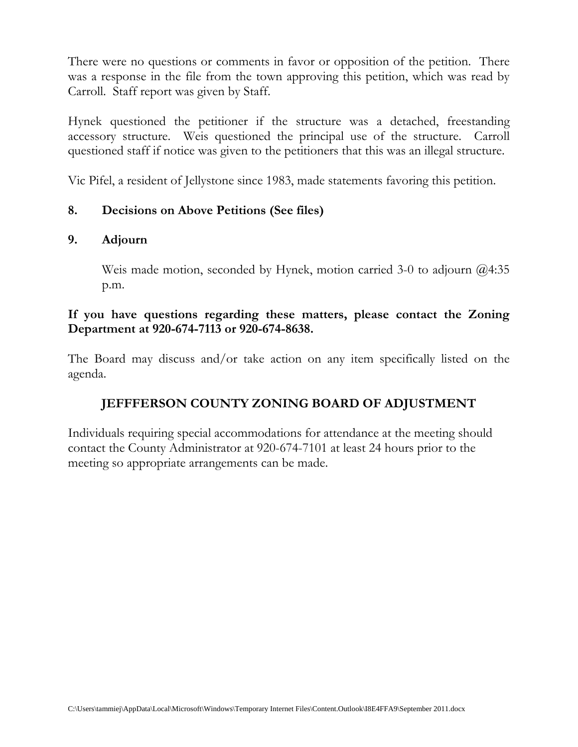There were no questions or comments in favor or opposition of the petition. There was a response in the file from the town approving this petition, which was read by Carroll. Staff report was given by Staff.

Hynek questioned the petitioner if the structure was a detached, freestanding accessory structure. Weis questioned the principal use of the structure. Carroll questioned staff if notice was given to the petitioners that this was an illegal structure.

Vic Pifel, a resident of Jellystone since 1983, made statements favoring this petition.

# **8. Decisions on Above Petitions (See files)**

## **9. Adjourn**

Weis made motion, seconded by Hynek, motion carried 3-0 to adjourn @4:35 p.m.

## **If you have questions regarding these matters, please contact the Zoning Department at 920-674-7113 or 920-674-8638.**

The Board may discuss and/or take action on any item specifically listed on the agenda.

# **JEFFFERSON COUNTY ZONING BOARD OF ADJUSTMENT**

Individuals requiring special accommodations for attendance at the meeting should contact the County Administrator at 920-674-7101 at least 24 hours prior to the meeting so appropriate arrangements can be made.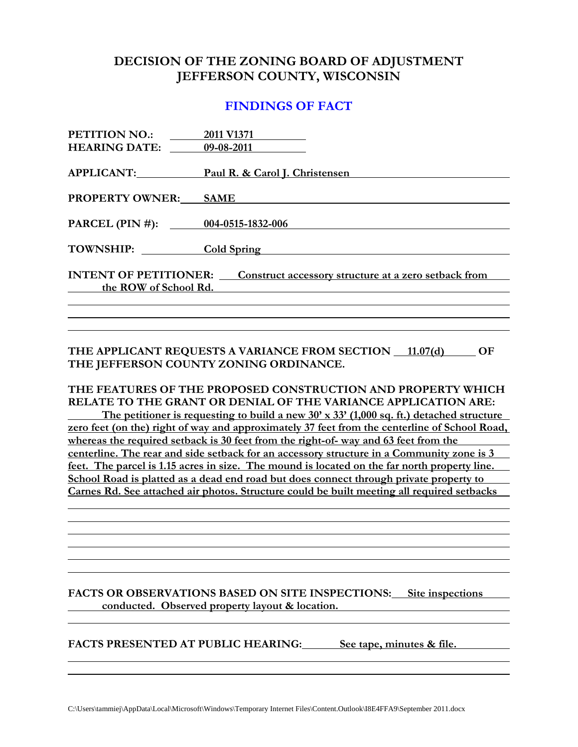## **DECISION OF THE ZONING BOARD OF ADJUSTMENT JEFFERSON COUNTY, WISCONSIN**

### **FINDINGS OF FACT**

| PETITION NO.:<br><b>HEARING DATE:</b>                 | 2011 V1371<br>09-08-2011                             |
|-------------------------------------------------------|------------------------------------------------------|
| APPLICANT:                                            | Paul R. & Carol J. Christensen                       |
| <b>PROPERTY OWNER:</b>                                | <b>SAME</b>                                          |
| PARCEL (PIN #): 004-0515-1832-006                     |                                                      |
| <b>TOWNSHIP:</b>                                      | <b>Cold Spring</b>                                   |
| <b>INTENT OF PETITIONER:</b><br>the ROW of School Rd. | Construct accessory structure at a zero setback from |
|                                                       |                                                      |

#### THE APPLICANT REQUESTS A VARIANCE FROM SECTION 11.07(d) OF **THE JEFFERSON COUNTY ZONING ORDINANCE.**

#### **THE FEATURES OF THE PROPOSED CONSTRUCTION AND PROPERTY WHICH RELATE TO THE GRANT OR DENIAL OF THE VARIANCE APPLICATION ARE:**

 **The petitioner is requesting to build a new 30' x 33' (1,000 sq. ft.) detached structure zero feet (on the) right of way and approximately 37 feet from the centerline of School Road, whereas the required setback is 30 feet from the right-of- way and 63 feet from the centerline. The rear and side setback for an accessory structure in a Community zone is 3 feet. The parcel is 1.15 acres in size. The mound is located on the far north property line. School Road is platted as a dead end road but does connect through private property to Carnes Rd. See attached air photos. Structure could be built meeting all required setbacks** 

#### **FACTS OR OBSERVATIONS BASED ON SITE INSPECTIONS: Site inspections <u>conducted.</u> Observed property layout & location.**

FACTS PRESENTED AT PUBLIC HEARING: See tape, minutes & file.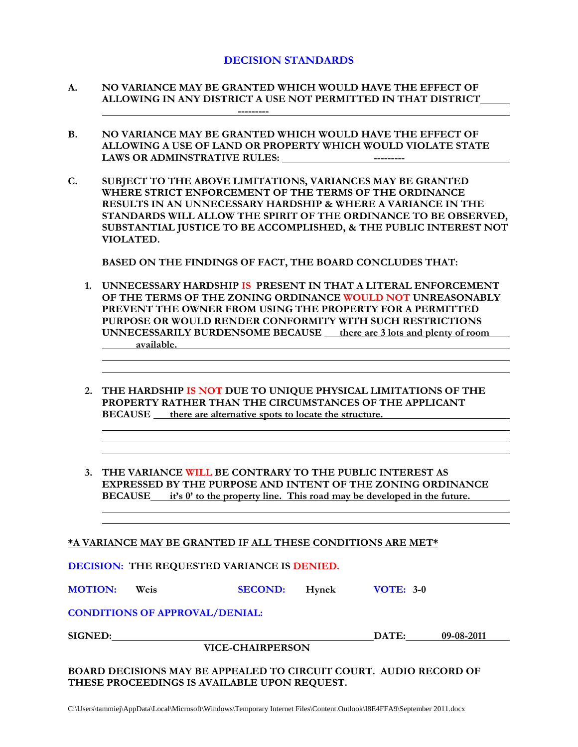#### **DECISION STANDARDS**

- **A. NO VARIANCE MAY BE GRANTED WHICH WOULD HAVE THE EFFECT OF ALLOWING IN ANY DISTRICT A USE NOT PERMITTED IN THAT DISTRICT ---------**
- **B. NO VARIANCE MAY BE GRANTED WHICH WOULD HAVE THE EFFECT OF ALLOWING A USE OF LAND OR PROPERTY WHICH WOULD VIOLATE STATE**  LAWS OR ADMINSTRATIVE RULES: The series of the series of the series of the series of the series of the series of the series of the series of the series of the series of the series of the series of the series of the series
- **C. SUBJECT TO THE ABOVE LIMITATIONS, VARIANCES MAY BE GRANTED WHERE STRICT ENFORCEMENT OF THE TERMS OF THE ORDINANCE RESULTS IN AN UNNECESSARY HARDSHIP & WHERE A VARIANCE IN THE STANDARDS WILL ALLOW THE SPIRIT OF THE ORDINANCE TO BE OBSERVED, SUBSTANTIAL JUSTICE TO BE ACCOMPLISHED, & THE PUBLIC INTEREST NOT VIOLATED.**

 **BASED ON THE FINDINGS OF FACT, THE BOARD CONCLUDES THAT:** 

- **1. UNNECESSARY HARDSHIP IS PRESENT IN THAT A LITERAL ENFORCEMENT OF THE TERMS OF THE ZONING ORDINANCE WOULD NOT UNREASONABLY PREVENT THE OWNER FROM USING THE PROPERTY FOR A PERMITTED PURPOSE OR WOULD RENDER CONFORMITY WITH SUCH RESTRICTIONS UNNECESSARILY BURDENSOME BECAUSE there are 3 lots and plenty of room available.**
- **2. THE HARDSHIP IS NOT DUE TO UNIQUE PHYSICAL LIMITATIONS OF THE PROPERTY RATHER THAN THE CIRCUMSTANCES OF THE APPLICANT BECAUSE there are alternative spots to locate the structure.**
- **3. THE VARIANCE WILL BE CONTRARY TO THE PUBLIC INTEREST AS EXPRESSED BY THE PURPOSE AND INTENT OF THE ZONING ORDINANCE BECAUSE** it's 0' to the property line. This road may be developed in the future.

**\*A VARIANCE MAY BE GRANTED IF ALL THESE CONDITIONS ARE MET\***

**DECISION: THE REQUESTED VARIANCE IS DENIED.** 

**MOTION: Weis SECOND: Hynek VOTE: 3-0**

**CONDITIONS OF APPROVAL/DENIAL:** 

 **VICE-CHAIRPERSON** 

**SIGNED: DATE:** 09-08-2011

**BOARD DECISIONS MAY BE APPEALED TO CIRCUIT COURT. AUDIO RECORD OF THESE PROCEEDINGS IS AVAILABLE UPON REQUEST.**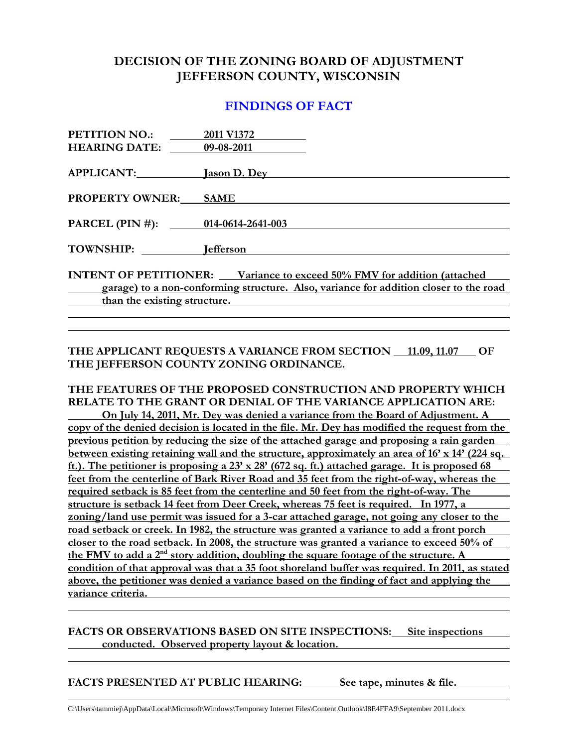## **DECISION OF THE ZONING BOARD OF ADJUSTMENT JEFFERSON COUNTY, WISCONSIN**

### **FINDINGS OF FACT**

| <b>PETITION NO.:</b>              | 2011 V1372                                                                            |
|-----------------------------------|---------------------------------------------------------------------------------------|
| <b>HEARING DATE:</b> 09-08-2011   |                                                                                       |
| APPLICANT:                        | <b>Jason D. Dey</b>                                                                   |
| <b>PROPERTY OWNER:</b>            | <b>SAME</b>                                                                           |
|                                   |                                                                                       |
| PARCEL (PIN #): 014-0614-2641-003 |                                                                                       |
| TOWNSHIP: lefferson               |                                                                                       |
|                                   | INTENT OF PETITIONER: Variance to exceed 50% FMV for addition (attached               |
| $\mathcal{L}$                     | garage) to a non-conforming structure. Also, variance for addition closer to the road |
| than the existing structure.      |                                                                                       |
|                                   |                                                                                       |

### THE APPLICANT REQUESTS A VARIANCE FROM SECTION 11.09, 11.07 OF **THE JEFFERSON COUNTY ZONING ORDINANCE.**

#### **THE FEATURES OF THE PROPOSED CONSTRUCTION AND PROPERTY WHICH RELATE TO THE GRANT OR DENIAL OF THE VARIANCE APPLICATION ARE:**

 **On July 14, 2011, Mr. Dey was denied a variance from the Board of Adjustment. A copy of the denied decision is located in the file. Mr. Dey has modified the request from the previous petition by reducing the size of the attached garage and proposing a rain garden between existing retaining wall and the structure, approximately an area of 16' x 14' (224 sq. ft.). The petitioner is proposing a 23' x 28' (672 sq. ft.) attached garage. It is proposed 68 feet from the centerline of Bark River Road and 35 feet from the right-of-way, whereas the required setback is 85 feet from the centerline and 50 feet from the right-of-way. The structure is setback 14 feet from Deer Creek, whereas 75 feet is required. In 1977, a zoning/land use permit was issued for a 3-car attached garage, not going any closer to the road setback or creek. In 1982, the structure was granted a variance to add a front porch closer to the road setback. In 2008, the structure was granted a variance to exceed 50% of the FMV to add a 2nd story addition, doubling the square footage of the structure. A condition of that approval was that a 35 foot shoreland buffer was required. In 2011, as stated above, the petitioner was denied a variance based on the finding of fact and applying the variance criteria.** 

### **FACTS OR OBSERVATIONS BASED ON SITE INSPECTIONS: Site inspections conducted. Observed property layout & location.**

#### **FACTS PRESENTED AT PUBLIC HEARING: See tape, minutes & file.**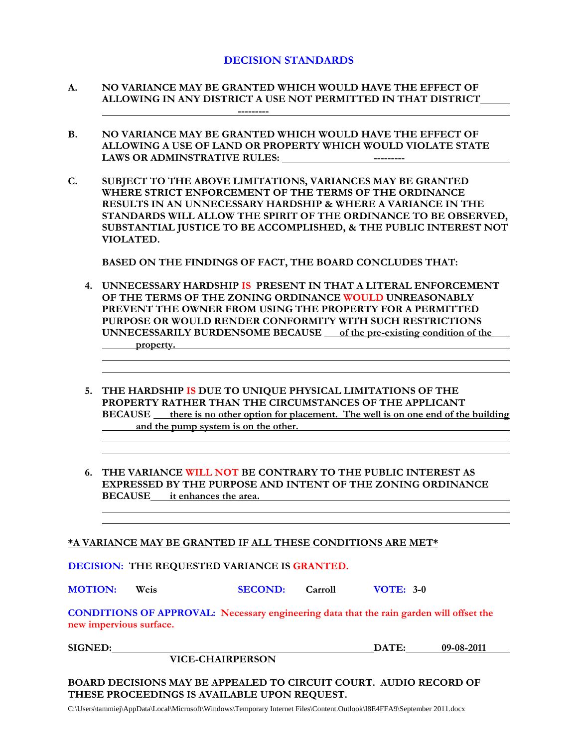#### **DECISION STANDARDS**

- **A. NO VARIANCE MAY BE GRANTED WHICH WOULD HAVE THE EFFECT OF ALLOWING IN ANY DISTRICT A USE NOT PERMITTED IN THAT DISTRICT ---------**
- **B. NO VARIANCE MAY BE GRANTED WHICH WOULD HAVE THE EFFECT OF ALLOWING A USE OF LAND OR PROPERTY WHICH WOULD VIOLATE STATE**  LAWS OR ADMINSTRATIVE RULES: The series of the series of the series of the series of the series of the series of the series of the series of the series of the series of the series of the series of the series of the series
- **C. SUBJECT TO THE ABOVE LIMITATIONS, VARIANCES MAY BE GRANTED WHERE STRICT ENFORCEMENT OF THE TERMS OF THE ORDINANCE RESULTS IN AN UNNECESSARY HARDSHIP & WHERE A VARIANCE IN THE STANDARDS WILL ALLOW THE SPIRIT OF THE ORDINANCE TO BE OBSERVED, SUBSTANTIAL JUSTICE TO BE ACCOMPLISHED, & THE PUBLIC INTEREST NOT VIOLATED.**

 **BASED ON THE FINDINGS OF FACT, THE BOARD CONCLUDES THAT:** 

- **4. UNNECESSARY HARDSHIP IS PRESENT IN THAT A LITERAL ENFORCEMENT OF THE TERMS OF THE ZONING ORDINANCE WOULD UNREASONABLY PREVENT THE OWNER FROM USING THE PROPERTY FOR A PERMITTED PURPOSE OR WOULD RENDER CONFORMITY WITH SUCH RESTRICTIONS UNNECESSARILY BURDENSOME BECAUSE of the pre-existing condition of the property.**
- **5. THE HARDSHIP IS DUE TO UNIQUE PHYSICAL LIMITATIONS OF THE PROPERTY RATHER THAN THE CIRCUMSTANCES OF THE APPLICANT BECAUSE** there is no other option for placement. The well is on one end of the building and the pump system is on the other.
- **6. THE VARIANCE WILL NOT BE CONTRARY TO THE PUBLIC INTEREST AS EXPRESSED BY THE PURPOSE AND INTENT OF THE ZONING ORDINANCE BECAUSE it enhances the area.**

#### **\*A VARIANCE MAY BE GRANTED IF ALL THESE CONDITIONS ARE MET\***

**DECISION: THE REQUESTED VARIANCE IS GRANTED.** 

**MOTION: Weis SECOND: Carroll VOTE: 3-0**

**CONDITIONS OF APPROVAL: Necessary engineering data that the rain garden will offset the new impervious surface.** 

**SIGNED:** DATE: 09-08-2011

#### **VICE-CHAIRPERSON**

**BOARD DECISIONS MAY BE APPEALED TO CIRCUIT COURT. AUDIO RECORD OF THESE PROCEEDINGS IS AVAILABLE UPON REQUEST.** 

C:\Users\tammiej\AppData\Local\Microsoft\Windows\Temporary Internet Files\Content.Outlook\I8E4FFA9\September 2011.docx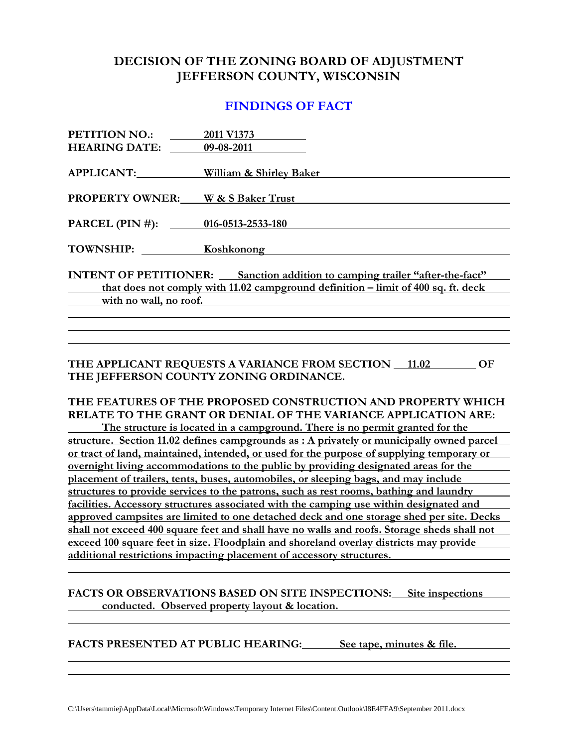## **DECISION OF THE ZONING BOARD OF ADJUSTMENT JEFFERSON COUNTY, WISCONSIN**

### **FINDINGS OF FACT**

| PETITION NO.: 2011 V1373                           |                                                                                       |
|----------------------------------------------------|---------------------------------------------------------------------------------------|
| <b>HEARING DATE:</b> 09-08-2011                    |                                                                                       |
| APPLICANT:                                         | William & Shirley Baker                                                               |
| <b>PROPERTY OWNER: W &amp; S Baker Trust</b>       |                                                                                       |
| PARCEL (PIN #): 016-0513-2533-180                  |                                                                                       |
|                                                    | TOWNSHIP: Koshkonong                                                                  |
|                                                    | <b>INTENT OF PETITIONER:</b> Sanction addition to camping trailer "after-the-fact"    |
| $\overline{\phantom{a}}$                           | that does not comply with $11.02$ campground definition – limit of $400$ sq. ft. deck |
| $\overline{\phantom{a}}$<br>with no wall, no roof. |                                                                                       |
|                                                    |                                                                                       |
|                                                    |                                                                                       |
|                                                    |                                                                                       |

#### **THE APPLICANT REQUESTS A VARIANCE FROM SECTION 11.02 OF THE JEFFERSON COUNTY ZONING ORDINANCE.**

### **THE FEATURES OF THE PROPOSED CONSTRUCTION AND PROPERTY WHICH RELATE TO THE GRANT OR DENIAL OF THE VARIANCE APPLICATION ARE:**

 **The structure is located in a campground. There is no permit granted for the structure. Section 11.02 defines campgrounds as : A privately or municipally owned parcel or tract of land, maintained, intended, or used for the purpose of supplying temporary or overnight living accommodations to the public by providing designated areas for the placement of trailers, tents, buses, automobiles, or sleeping bags, and may include structures to provide services to the patrons, such as rest rooms, bathing and laundry facilities. Accessory structures associated with the camping use within designated and approved campsites are limited to one detached deck and one storage shed per site. Decks shall not exceed 400 square feet and shall have no walls and roofs. Storage sheds shall not exceed 100 square feet in size. Floodplain and shoreland overlay districts may provide additional restrictions impacting placement of accessory structures.** 

#### **FACTS OR OBSERVATIONS BASED ON SITE INSPECTIONS: Site inspections conducted. Observed property layout & location.**

**FACTS PRESENTED AT PUBLIC HEARING: See tape, minutes & file.**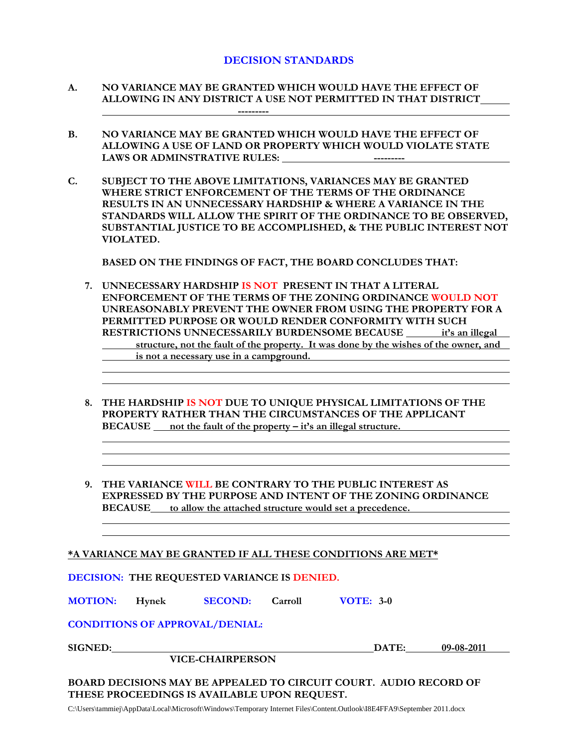#### **DECISION STANDARDS**

- **A. NO VARIANCE MAY BE GRANTED WHICH WOULD HAVE THE EFFECT OF ALLOWING IN ANY DISTRICT A USE NOT PERMITTED IN THAT DISTRICT ---------**
- **B. NO VARIANCE MAY BE GRANTED WHICH WOULD HAVE THE EFFECT OF ALLOWING A USE OF LAND OR PROPERTY WHICH WOULD VIOLATE STATE**  LAWS OR ADMINSTRATIVE RULES: **All Accounts Lease and Lease and Lease and Lease and Lease and Lease and Lease and Lease and Lease and Lease and Lease and Lease and Lease and Lease and Lease and Lease and Lease and Lease a**
- **C. SUBJECT TO THE ABOVE LIMITATIONS, VARIANCES MAY BE GRANTED WHERE STRICT ENFORCEMENT OF THE TERMS OF THE ORDINANCE RESULTS IN AN UNNECESSARY HARDSHIP & WHERE A VARIANCE IN THE STANDARDS WILL ALLOW THE SPIRIT OF THE ORDINANCE TO BE OBSERVED, SUBSTANTIAL JUSTICE TO BE ACCOMPLISHED, & THE PUBLIC INTEREST NOT VIOLATED.**

 **BASED ON THE FINDINGS OF FACT, THE BOARD CONCLUDES THAT:** 

- **7. UNNECESSARY HARDSHIP IS NOT PRESENT IN THAT A LITERAL ENFORCEMENT OF THE TERMS OF THE ZONING ORDINANCE WOULD NOT UNREASONABLY PREVENT THE OWNER FROM USING THE PROPERTY FOR A PERMITTED PURPOSE OR WOULD RENDER CONFORMITY WITH SUCH RESTRICTIONS UNNECESSARILY BURDENSOME BECAUSE it's an illegal structure, not the fault of the property. It was done by the wishes of the owner, and is not a necessary use in a campground.**
- **8. THE HARDSHIP IS NOT DUE TO UNIQUE PHYSICAL LIMITATIONS OF THE PROPERTY RATHER THAN THE CIRCUMSTANCES OF THE APPLICANT BECAUSE not the fault of the property – it's an illegal structure.**
- **9. THE VARIANCE WILL BE CONTRARY TO THE PUBLIC INTEREST AS EXPRESSED BY THE PURPOSE AND INTENT OF THE ZONING ORDINANCE BECAUSE to allow the attached structure would set a precedence.**

| *A VARIANCE MAY BE GRANTED IF ALL THESE CONDITIONS ARE MET* |
|-------------------------------------------------------------|
|-------------------------------------------------------------|

|  | <b>DECISION: THE REQUESTED VARIANCE IS DENIED.</b> |
|--|----------------------------------------------------|
|--|----------------------------------------------------|

**MOTION: Hynek SECOND: Carroll VOTE: 3-0**

**CONDITIONS OF APPROVAL/DENIAL:** 

 **VICE-CHAIRPERSON** 

**SIGNED: DATE:** 09-08-2011

**BOARD DECISIONS MAY BE APPEALED TO CIRCUIT COURT. AUDIO RECORD OF THESE PROCEEDINGS IS AVAILABLE UPON REQUEST.** 

C:\Users\tammiej\AppData\Local\Microsoft\Windows\Temporary Internet Files\Content.Outlook\I8E4FFA9\September 2011.docx